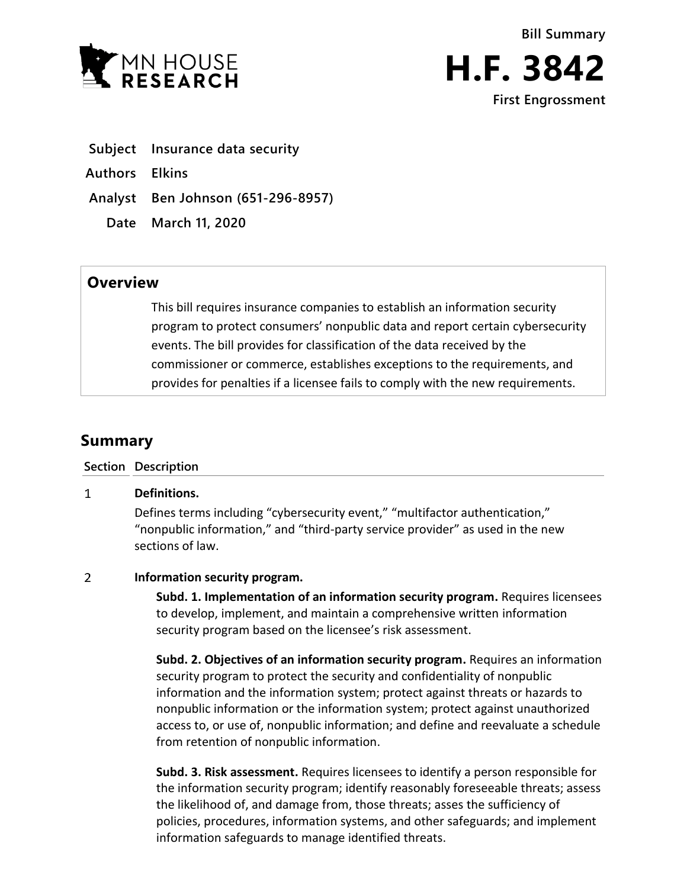



- **Subject Insurance data security**
- **Authors Elkins**

**Analyst Ben Johnson (651-296-8957)**

**Date March 11, 2020**

## **Overview**

This bill requires insurance companies to establish an information security program to protect consumers' nonpublic data and report certain cybersecurity events. The bill provides for classification of the data received by the commissioner or commerce, establishes exceptions to the requirements, and provides for penalties if a licensee fails to comply with the new requirements.

# **Summary**

### **Section Description**

#### $\mathbf{1}$ **Definitions.**

Defines terms including "cybersecurity event," "multifactor authentication," "nonpublic information," and "third-party service provider" as used in the new sections of law.

### $\overline{2}$ **Information security program.**

**Subd. 1. Implementation of an information security program.** Requires licensees to develop, implement, and maintain a comprehensive written information security program based on the licensee's risk assessment.

**Subd. 2. Objectives of an information security program.** Requires an information security program to protect the security and confidentiality of nonpublic information and the information system; protect against threats or hazards to nonpublic information or the information system; protect against unauthorized access to, or use of, nonpublic information; and define and reevaluate a schedule from retention of nonpublic information.

**Subd. 3. Risk assessment.** Requires licensees to identify a person responsible for the information security program; identify reasonably foreseeable threats; assess the likelihood of, and damage from, those threats; asses the sufficiency of policies, procedures, information systems, and other safeguards; and implement information safeguards to manage identified threats.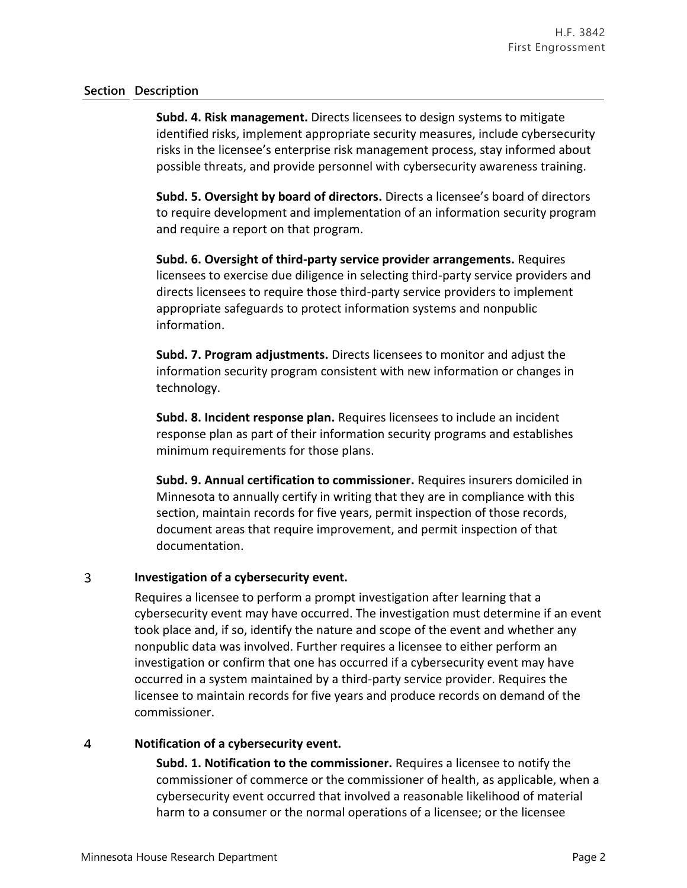### **Section Description**

**Subd. 4. Risk management.** Directs licensees to design systems to mitigate identified risks, implement appropriate security measures, include cybersecurity risks in the licensee's enterprise risk management process, stay informed about possible threats, and provide personnel with cybersecurity awareness training.

**Subd. 5. Oversight by board of directors.** Directs a licensee's board of directors to require development and implementation of an information security program and require a report on that program.

**Subd. 6. Oversight of third-party service provider arrangements.** Requires licensees to exercise due diligence in selecting third-party service providers and directs licensees to require those third-party service providers to implement appropriate safeguards to protect information systems and nonpublic information.

**Subd. 7. Program adjustments.** Directs licensees to monitor and adjust the information security program consistent with new information or changes in technology.

**Subd. 8. Incident response plan.** Requires licensees to include an incident response plan as part of their information security programs and establishes minimum requirements for those plans.

**Subd. 9. Annual certification to commissioner.** Requires insurers domiciled in Minnesota to annually certify in writing that they are in compliance with this section, maintain records for five years, permit inspection of those records, document areas that require improvement, and permit inspection of that documentation.

### 3 **Investigation of a cybersecurity event.**

Requires a licensee to perform a prompt investigation after learning that a cybersecurity event may have occurred. The investigation must determine if an event took place and, if so, identify the nature and scope of the event and whether any nonpublic data was involved. Further requires a licensee to either perform an investigation or confirm that one has occurred if a cybersecurity event may have occurred in a system maintained by a third-party service provider. Requires the licensee to maintain records for five years and produce records on demand of the commissioner.

### $\overline{4}$ **Notification of a cybersecurity event.**

**Subd. 1. Notification to the commissioner.** Requires a licensee to notify the commissioner of commerce or the commissioner of health, as applicable, when a cybersecurity event occurred that involved a reasonable likelihood of material harm to a consumer or the normal operations of a licensee; or the licensee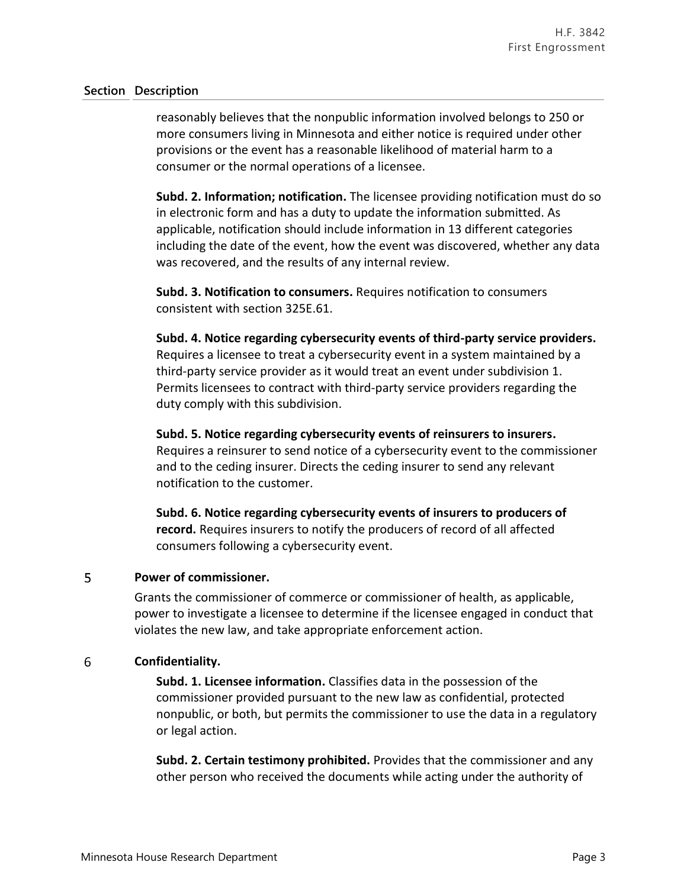### **Section Description**

reasonably believes that the nonpublic information involved belongs to 250 or more consumers living in Minnesota and either notice is required under other provisions or the event has a reasonable likelihood of material harm to a consumer or the normal operations of a licensee.

**Subd. 2. Information; notification.** The licensee providing notification must do so in electronic form and has a duty to update the information submitted. As applicable, notification should include information in 13 different categories including the date of the event, how the event was discovered, whether any data was recovered, and the results of any internal review.

**Subd. 3. Notification to consumers.** Requires notification to consumers consistent with section 325E.61.

**Subd. 4. Notice regarding cybersecurity events of third-party service providers.** Requires a licensee to treat a cybersecurity event in a system maintained by a third-party service provider as it would treat an event under subdivision 1. Permits licensees to contract with third-party service providers regarding the duty comply with this subdivision.

**Subd. 5. Notice regarding cybersecurity events of reinsurers to insurers.** Requires a reinsurer to send notice of a cybersecurity event to the commissioner and to the ceding insurer. Directs the ceding insurer to send any relevant notification to the customer.

**Subd. 6. Notice regarding cybersecurity events of insurers to producers of record.** Requires insurers to notify the producers of record of all affected consumers following a cybersecurity event.

### 5 **Power of commissioner.**

Grants the commissioner of commerce or commissioner of health, as applicable, power to investigate a licensee to determine if the licensee engaged in conduct that violates the new law, and take appropriate enforcement action.

### 6 **Confidentiality.**

**Subd. 1. Licensee information.** Classifies data in the possession of the commissioner provided pursuant to the new law as confidential, protected nonpublic, or both, but permits the commissioner to use the data in a regulatory or legal action.

**Subd. 2. Certain testimony prohibited.** Provides that the commissioner and any other person who received the documents while acting under the authority of